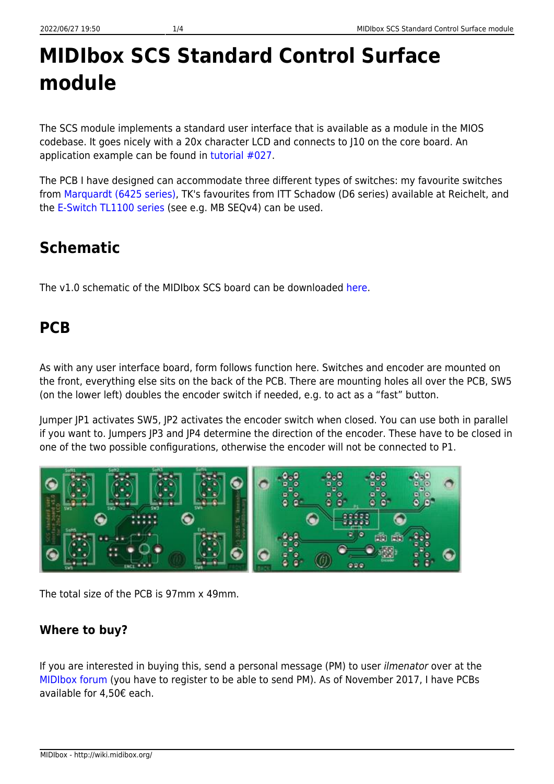# **MIDIbox SCS Standard Control Surface module**

The SCS module implements a standard user interface that is available as a module in the MIOS codebase. It goes nicely with a 20x character LCD and connects to J10 on the core board. An application example can be found in [tutorial #027](http://svnmios.midibox.org/listing.php?repname=svn.mios32&path=%2Ftrunk%2Fapps%2Ftutorials%2F027_scs%2F).

The PCB I have designed can accommodate three different types of switches: my favourite switches from [Marquardt \(6425 series\),](http://wiki.midibox.org/doku.php?id=16x4blm_pcb) TK's favourites from ITT Schadow (D6 series) available at Reichelt, and the [E-Switch TL1100 series](http://wiki.midibox.org/doku.php?id=16x4blm_pcb) (see e.g. MB SEQv4) can be used.

## **Schematic**

The v1.0 schematic of the MIDIbox SCS board can be downloaded [here.](http://wiki.midibox.org/lib/exe/fetch.php?media=home:users:ilmenator:scs_tk:scs_tk_v1.0.pdf)

### **PCB**

As with any user interface board, form follows function here. Switches and encoder are mounted on the front, everything else sits on the back of the PCB. There are mounting holes all over the PCB, SW5 (on the lower left) doubles the encoder switch if needed, e.g. to act as a "fast" button.

Jumper JP1 activates SW5, JP2 activates the encoder switch when closed. You can use both in parallel if you want to. Jumpers JP3 and JP4 determine the direction of the encoder. These have to be closed in one of the two possible configurations, otherwise the encoder will not be connected to P1.



The total size of the PCB is 97mm x 49mm.

### **Where to buy?**

If you are interested in buying this, send a personal message (PM) to user ilmenator over at the [MIDIbox forum](http://midibox.org/forums/) (you have to register to be able to send PM). As of November 2017, I have PCBs available for 4,50€ each.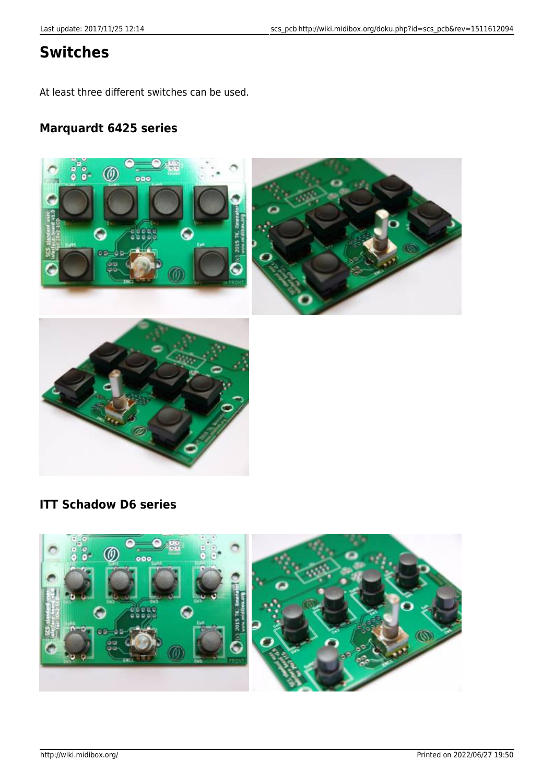### **Switches**

At least three different switches can be used.

#### **Marquardt 6425 series**



#### **ITT Schadow D6 series**

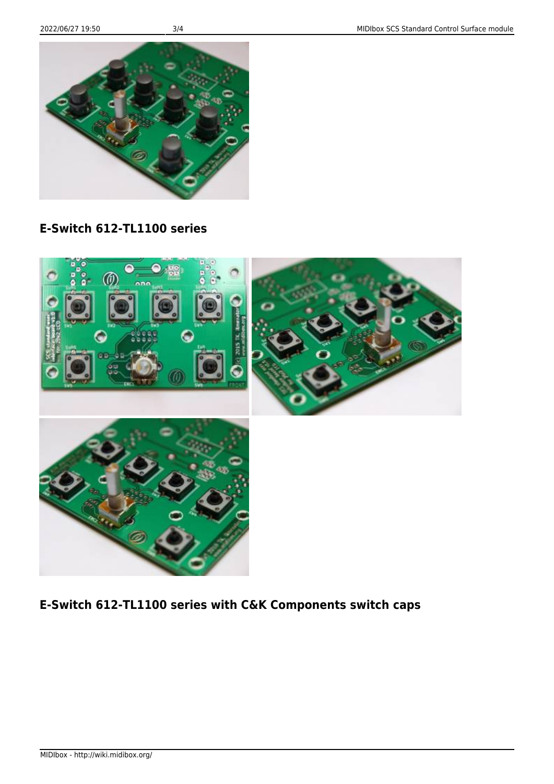MIDIbox - http://wiki.midibox.org/







#### **E-Switch 612-TL1100 series**